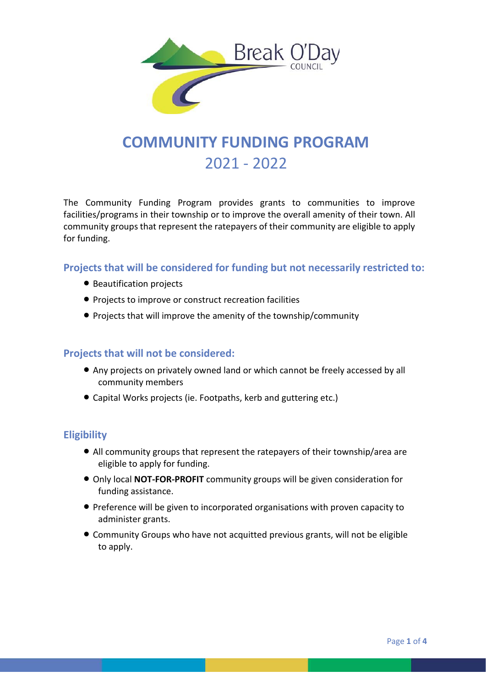

# **COMMUNITY FUNDING PROGRAM** 2021 - 2022

The Community Funding Program provides grants to communities to improve facilities/programs in their township or to improve the overall amenity of their town. All community groups that represent the ratepayers of their community are eligible to apply for funding.

**Projects that will be considered for funding but not necessarily restricted to:**

- **Beautification projects**
- Projects to improve or construct recreation facilities
- Projects that will improve the amenity of the township/community

#### **Projects that will not be considered:**

- Any projects on privately owned land or which cannot be freely accessed by all community members
- Capital Works projects (ie. Footpaths, kerb and guttering etc.)

#### **Eligibility**

- All community groups that represent the ratepayers of their township/area are eligible to apply for funding.
- Only local **NOT-FOR-PROFIT** community groups will be given consideration for funding assistance.
- Preference will be given to incorporated organisations with proven capacity to administer grants.
- Community Groups who have not acquitted previous grants, will not be eligible to apply.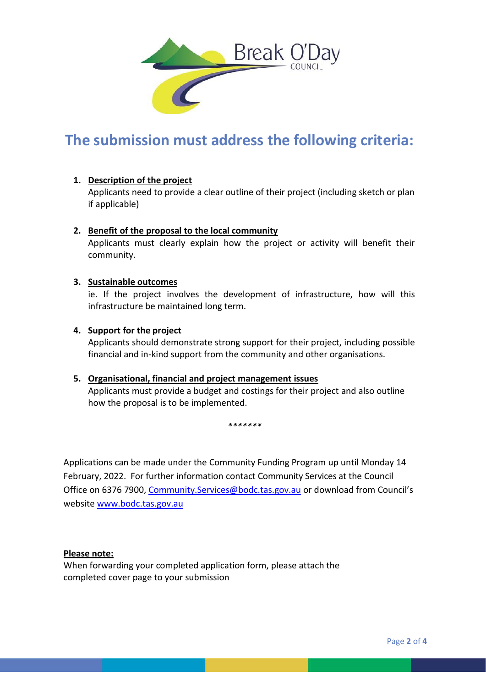

## **The submission must address the following criteria:**

#### **1. Description of the project**

Applicants need to provide a clear outline of their project (including sketch or plan if applicable)

#### **2. Benefit of the proposal to the local community**

Applicants must clearly explain how the project or activity will benefit their community.

#### **3. Sustainable outcomes**

ie. If the project involves the development of infrastructure, how will this infrastructure be maintained long term.

#### **4. Support for the project**

Applicants should demonstrate strong support for their project, including possible financial and in-kind support from the community and other organisations.

#### **5. Organisational, financial and project management issues**

Applicants must provide a budget and costings for their project and also outline how the proposal is to be implemented.

*\*\*\*\*\*\*\**

Applications can be made under the Community Funding Program up until Monday 14 February, 2022. For further information contact Community Services at the Council Office on 6376 7900, [Community.Services@bodc.tas.gov.au](mailto:Community.Services@bodc.tas.gov.au) or [download from](http://www.bodc.tas.gov.au/) Council's website [www.bodc.tas.gov.au](http://www.bodc.tas.gov.au/)

#### **Please note:**

When forwarding your completed application form, please attach the completed cover page to your submission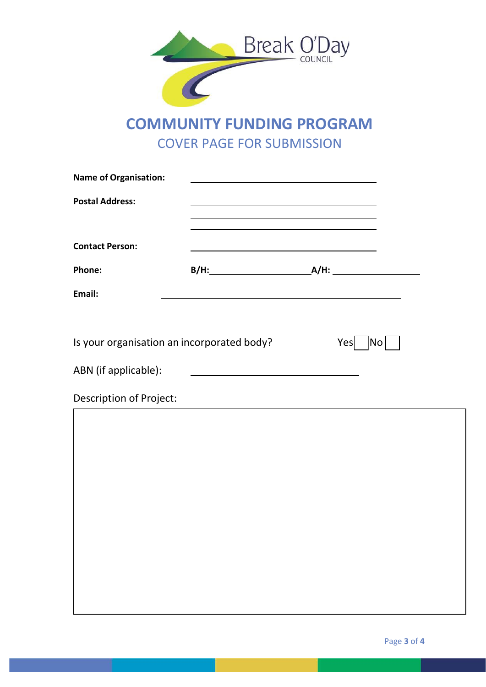

## **COMMUNITY FUNDING PROGRAM** COVER PAGE FOR SUBMISSION

| <b>Name of Organisation:</b>               |                                                                 | <u> 1989 - John Stein, mars and de Branch and de Branch and de Branch and de Branch and de Branch and de Branch an</u> |                    |
|--------------------------------------------|-----------------------------------------------------------------|------------------------------------------------------------------------------------------------------------------------|--------------------|
| <b>Postal Address:</b>                     |                                                                 | the control of the control of the control of the control of the control of the control of                              |                    |
| <b>Contact Person:</b>                     |                                                                 | <u> 1989 - Johann Barbara, martxa alemaniar amerikan a</u>                                                             |                    |
| Phone:                                     |                                                                 |                                                                                                                        |                    |
| Email:                                     |                                                                 |                                                                                                                        |                    |
|                                            |                                                                 |                                                                                                                        |                    |
| Is your organisation an incorporated body? |                                                                 | Yes                                                                                                                    | $\vert$ No $\vert$ |
| ABN (if applicable):                       | <u> 1980 - Johann Barn, mars an t-Amerikaansk kommunister (</u> |                                                                                                                        |                    |
| <b>Description of Project:</b>             |                                                                 |                                                                                                                        |                    |
|                                            |                                                                 |                                                                                                                        |                    |
|                                            |                                                                 |                                                                                                                        |                    |
|                                            |                                                                 |                                                                                                                        |                    |
|                                            |                                                                 |                                                                                                                        |                    |
|                                            |                                                                 |                                                                                                                        |                    |
|                                            |                                                                 |                                                                                                                        |                    |
|                                            |                                                                 |                                                                                                                        |                    |